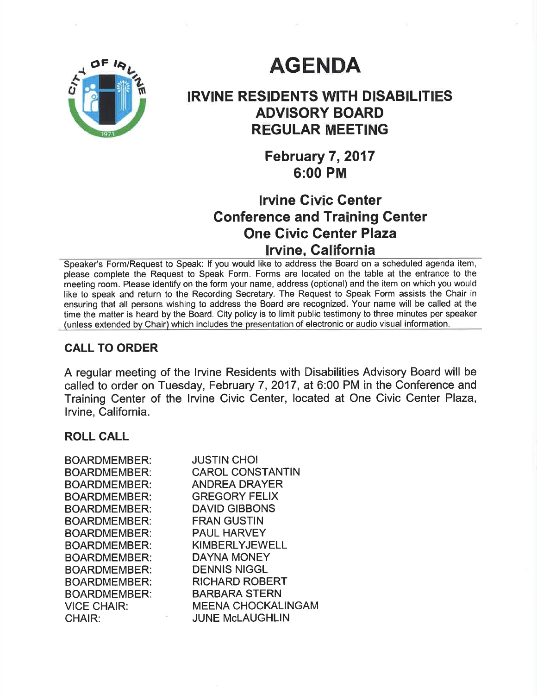

# **AGENDA**

# IRVINE RESIDENTS WITH DISABILITIES ADVISORY BOARD REGULAR MEETING

February 7, 2017 6:00 PM

## lrvine Civic Genter Conference and Training Center One Givic Genter Plaza lrvine, Galifornia

Speaker's Form/Request to Speak: lf you would like to address the Board on a scheduled agenda item, please complete the Request to Speak Form. Forms are located on the table at the entrance to the meeting room. Please identify on the form your name, address (optional) and the item on which you would like to speak and return to the Recording Secretary. The Request to Speak Form assists the Chair in ensuring that all persons wishing to address the Board are recognized. Your name will be called at the time the matter is heard by the Board. City policy is to limit public testimony to three minutes per speaker (unless extended by Chair) which includes the presentation of electronic or audio visual information.

## CALL TO ORDER

A regular meeting of the Irvine Residents with Disabilities Advisory Board will be called to order on Tuesday, February 7, 2017, at 6:00 PM in the Conference and Training Center of the lrvine Civic Center, located at One Civic Center Plaza, lrvine, California.

#### ROLL CALL

| BOARDMEMBER:       | <b>JUSTIN CHOI</b>        |
|--------------------|---------------------------|
| BOARDMEMBER:       | <b>CAROL CONSTANTIN</b>   |
| BOARDMEMBER:       | <b>ANDREA DRAYER</b>      |
| BOARDMEMBER:       | <b>GREGORY FELIX</b>      |
| BOARDMEMBER:       | <b>DAVID GIBBONS</b>      |
| BOARDMEMBER:       | <b>FRAN GUSTIN</b>        |
| BOARDMEMBER:       | <b>PAUL HARVEY</b>        |
| BOARDMEMBER:       | <b>KIMBERLYJEWELL</b>     |
| BOARDMEMBER:       | <b>DAYNA MONEY</b>        |
| BOARDMEMBER:       | <b>DENNIS NIGGL</b>       |
| BOARDMEMBER:       | <b>RICHARD ROBERT</b>     |
| BOARDMEMBER:       | <b>BARBARA STERN</b>      |
| <b>VICE CHAIR:</b> | <b>MEENA CHOCKALINGAN</b> |
| <b>CHAIR:</b>      | <b>JUNE McLAUGHLIN</b>    |
|                    |                           |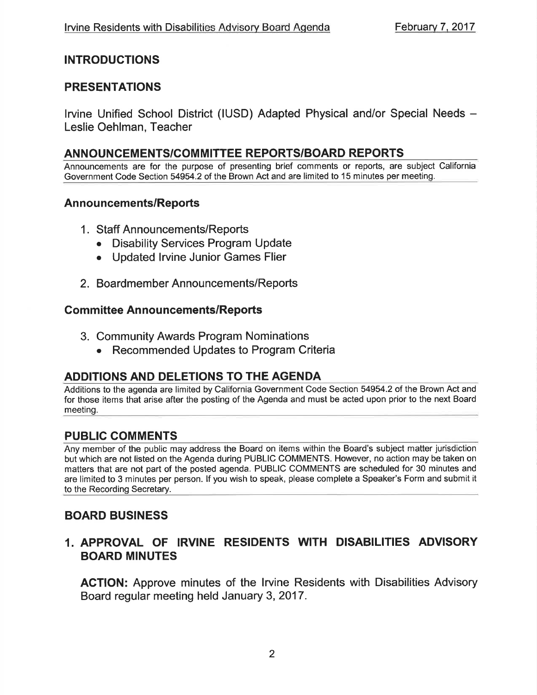## INTRODUCTIONS

## PRESENTATIONS

lrvine Unified School District (IUSD) Adapted Physical and/or Special Needs - Leslie Oehlman, Teacher

## ANNOUNCEMENTS/COMMITTEE REPORTS/BOARD REPORTS

Announcements are for the purpose of presenting brief comments or reports, are subject California Government Code Section 54954.2 of the Brown Act and are limited to 15 minutes per meeting.

#### Announcements/Reports

- <sup>1</sup>. Staff Announcements/Reports
	- Disability Services Program Update
	- Updated Irvine Junior Games Flier
- 2. Boardmember Announcements/Reports

#### **Committee Announcements/Reports**

- 3. Community Awards Program Nominations
	- . Recommended Updates to Program Criteria

#### ADDITIONS AND DELETIONS TO THE AGENDA

Additions to the agenda are limited by California Government Code Section 54954.2 of the Brown Act and for those items that arise after the posting of the Agenda and must be acted upon prior to the next Board meeting.

## PUBLIC COMMENTS

Any member of the public may address the Board on items within the Board's subject matter jurisdiction but which are not listed on the Agenda during PUBLIC COMMENTS. However, no action may be taken on matters that are not part of the posted agenda. PUBLIC COMMENTS are scheduled for 30 minutes and are limited to 3 minutes per person. lf you wish to speak, please complete a Speaker's Form and submit it to the Recording Secretary.

## BOARD BUSINESS

## 1. APPROVAL OF IRVINE RESIDENTS WITH DISABILITIES ADVISORY BOARD MINUTES

AGTION: Approve minutes of the lrvine Residents with Disabilities Advisory Board regular meeting held January 3,2017.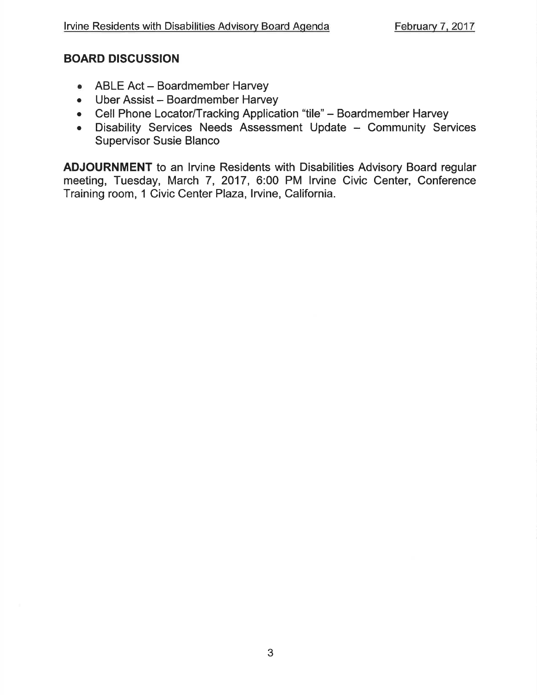## BOARD DISCUSSION

- ABLE Act Boardmember Harvey
- Uber Assist Boardmember Harvey
- . Cell Phone Locator/Tracking Application "tile" Boardmember Harvey
- Disability Services Needs Assessment Update Community Services Supervisor Susie Blanco

ADJOURNMENT to an lrvine Residents with Disabilities Advisory Board regular meeting, Tuesday, March 7, 2017, 6:00 PM lrvine Civic Center, Conference Training room, 1 Civic Center Plaza, Irvine, California.